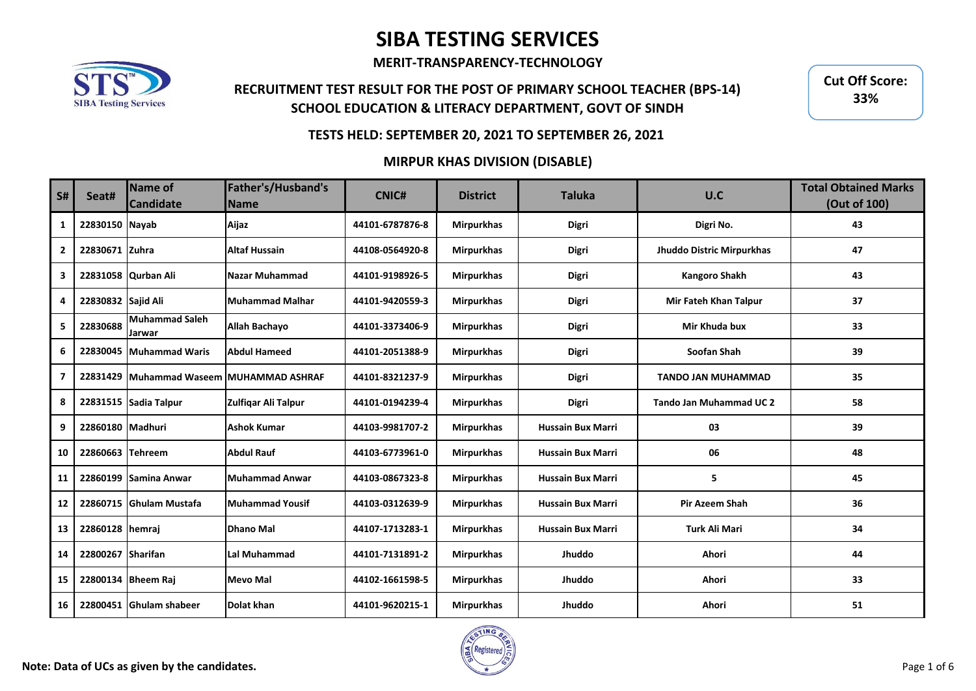**MERIT-TRANSPARENCY-TECHNOLOGY**

## **RECRUITMENT TEST RESULT FOR THE POST OF PRIMARY SCHOOL TEACHER (BPS-14) SCHOOL EDUCATION & LITERACY DEPARTMENT, GOVT OF SINDH**

**Cut Off Score: 33%**

### **TESTS HELD: SEPTEMBER 20, 2021 TO SEPTEMBER 26, 2021**

#### **MIRPUR KHAS DIVISION (DISABLE)**

| <b>S#</b>      | Seat#              | <b>Name of</b><br><b>Candidate</b> | Father's/Husband's<br><b>Name</b>        | <b>CNIC#</b>    | <b>District</b>   | <b>Taluka</b>            | U.C                            | <b>Total Obtained Marks</b><br>(Out of 100) |
|----------------|--------------------|------------------------------------|------------------------------------------|-----------------|-------------------|--------------------------|--------------------------------|---------------------------------------------|
| 1              | 22830150 Nayab     |                                    | Aijaz                                    | 44101-6787876-8 | <b>Mirpurkhas</b> | <b>Digri</b>             | Digri No.                      | 43                                          |
| $\overline{2}$ | 22830671 Zuhra     |                                    | <b>Altaf Hussain</b>                     | 44108-0564920-8 | <b>Mirpurkhas</b> | <b>Digri</b>             | Jhuddo Distric Mirpurkhas      | 47                                          |
| 3              |                    | 22831058 Qurban Ali                | Nazar Muhammad                           | 44101-9198926-5 | <b>Mirpurkhas</b> | <b>Digri</b>             | <b>Kangoro Shakh</b>           | 43                                          |
| 4              | 22830832 Sajid Ali |                                    | <b>Muhammad Malhar</b>                   | 44101-9420559-3 | <b>Mirpurkhas</b> | Digri                    | Mir Fateh Khan Talpur          | 37                                          |
| 5              | 22830688           | <b>Muhammad Saleh</b><br>Jarwar    | <b>Allah Bachayo</b>                     | 44101-3373406-9 | <b>Mirpurkhas</b> | <b>Digri</b>             | Mir Khuda bux                  | 33                                          |
| 6              | 22830045           | Muhammad Waris                     | <b>Abdul Hameed</b>                      | 44101-2051388-9 | <b>Mirpurkhas</b> | <b>Digri</b>             | Soofan Shah                    | 39                                          |
| $\overline{ }$ |                    |                                    | 22831429 Muhammad Waseem MUHAMMAD ASHRAF | 44101-8321237-9 | <b>Mirpurkhas</b> | <b>Digri</b>             | <b>TANDO JAN MUHAMMAD</b>      | 35                                          |
| 8              |                    | 22831515 Sadia Talpur              | Zulfigar Ali Talpur                      | 44101-0194239-4 | <b>Mirpurkhas</b> | <b>Digri</b>             | <b>Tando Jan Muhammad UC 2</b> | 58                                          |
| 9              | 22860180 Madhuri   |                                    | <b>Ashok Kumar</b>                       | 44103-9981707-2 | <b>Mirpurkhas</b> | <b>Hussain Bux Marri</b> | 03                             | 39                                          |
| 10             | 22860663 Tehreem   |                                    | <b>Abdul Rauf</b>                        | 44103-6773961-0 | <b>Mirpurkhas</b> | <b>Hussain Bux Marri</b> | 06                             | 48                                          |
| 11             |                    | 22860199 Samina Anwar              | <b>Muhammad Anwar</b>                    | 44103-0867323-8 | <b>Mirpurkhas</b> | <b>Hussain Bux Marri</b> | 5                              | 45                                          |
| 12             |                    | 22860715 Ghulam Mustafa            | <b>Muhammad Yousif</b>                   | 44103-0312639-9 | <b>Mirpurkhas</b> | <b>Hussain Bux Marri</b> | <b>Pir Azeem Shah</b>          | 36                                          |
| 13             | 22860128 hemraj    |                                    | <b>Dhano Mal</b>                         | 44107-1713283-1 | <b>Mirpurkhas</b> | <b>Hussain Bux Marri</b> | <b>Turk Ali Mari</b>           | 34                                          |
| 14             | 22800267 Sharifan  |                                    | <b>Lal Muhammad</b>                      | 44101-7131891-2 | <b>Mirpurkhas</b> | Jhuddo                   | Ahori                          | 44                                          |
| 15             |                    | 22800134 Bheem Raj                 | <b>Mevo Mal</b>                          | 44102-1661598-5 | <b>Mirpurkhas</b> | Jhuddo                   | Ahori                          | 33                                          |
| 16             | 22800451           | <b>Ghulam shabeer</b>              | <b>Dolat khan</b>                        | 44101-9620215-1 | <b>Mirpurkhas</b> | Jhuddo                   | Ahori                          | 51                                          |

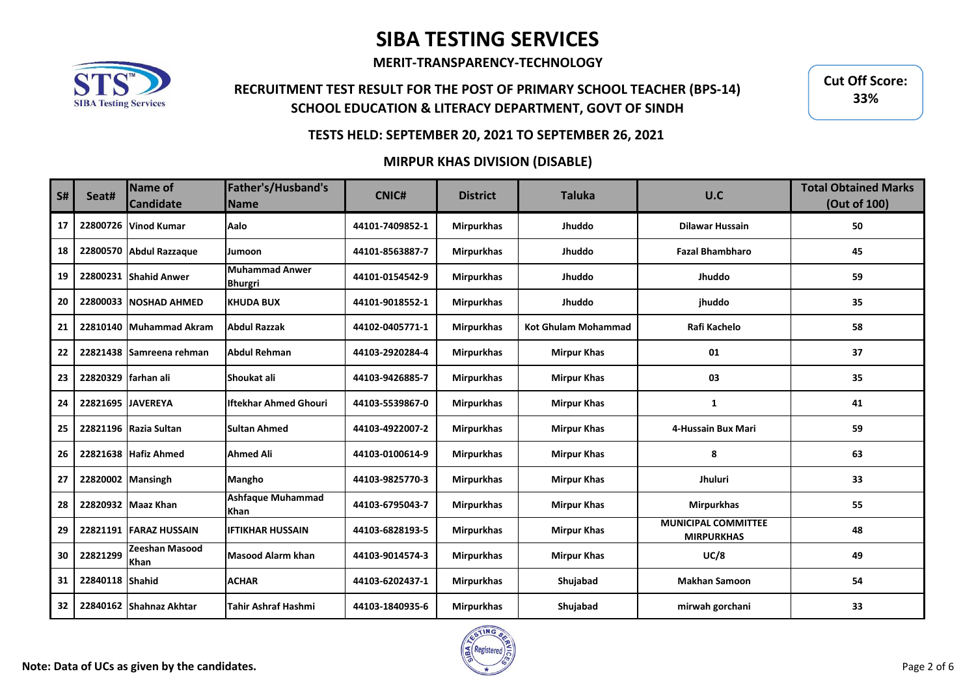**MERIT-TRANSPARENCY-TECHNOLOGY**

## **RECRUITMENT TEST RESULT FOR THE POST OF PRIMARY SCHOOL TEACHER (BPS-14) SCHOOL EDUCATION & LITERACY DEPARTMENT, GOVT OF SINDH**

**Cut Off Score: 33%**

### **TESTS HELD: SEPTEMBER 20, 2021 TO SEPTEMBER 26, 2021**

### **MIRPUR KHAS DIVISION (DISABLE)**

| <b>S#</b> | Seat#                    | Name of<br><b>Candidate</b> | Father's/Husband's<br><b>Name</b>       | <b>CNIC#</b>    | <b>District</b>   | <b>Taluka</b>              | U.C                                             | <b>Total Obtained Marks</b><br>(Out of 100) |
|-----------|--------------------------|-----------------------------|-----------------------------------------|-----------------|-------------------|----------------------------|-------------------------------------------------|---------------------------------------------|
| 17        |                          | 22800726 Vinod Kumar        | Aalo                                    | 44101-7409852-1 | <b>Mirpurkhas</b> | Jhuddo                     | <b>Dilawar Hussain</b>                          | 50                                          |
| 18        |                          | 22800570 Abdul Razzaque     | <b>Jumoon</b>                           | 44101-8563887-7 | <b>Mirpurkhas</b> | Jhuddo                     | <b>Fazal Bhambharo</b>                          | 45                                          |
| 19        |                          | 22800231 Shahid Anwer       | <b>Muhammad Anwer</b><br><b>Bhurgri</b> | 44101-0154542-9 | <b>Mirpurkhas</b> | Jhuddo                     | Jhuddo                                          | 59                                          |
| 20        |                          | 22800033 NOSHAD AHMED       | <b>KHUDA BUX</b>                        | 44101-9018552-1 | <b>Mirpurkhas</b> | Jhuddo                     | jhuddo                                          | 35                                          |
| 21        |                          | 22810140 Muhammad Akram     | <b>Abdul Razzak</b>                     | 44102-0405771-1 | <b>Mirpurkhas</b> | <b>Kot Ghulam Mohammad</b> | Rafi Kachelo                                    | 58                                          |
| 22        |                          | 22821438 Samreena rehman    | <b>Abdul Rehman</b>                     | 44103-2920284-4 | <b>Mirpurkhas</b> | <b>Mirpur Khas</b>         | 01                                              | 37                                          |
| 23        | 22820329   farhan ali    |                             | Shoukat ali                             | 44103-9426885-7 | <b>Mirpurkhas</b> | <b>Mirpur Khas</b>         | 03                                              | 35                                          |
| 24        | <b>22821695 JAVEREYA</b> |                             | <b>Iftekhar Ahmed Ghouri</b>            | 44103-5539867-0 | <b>Mirpurkhas</b> | <b>Mirpur Khas</b>         | 1                                               | 41                                          |
| 25        |                          | 22821196 Razia Sultan       | <b>Sultan Ahmed</b>                     | 44103-4922007-2 | <b>Mirpurkhas</b> | <b>Mirpur Khas</b>         | 4-Hussain Bux Mari                              | 59                                          |
| 26        |                          | 22821638 Hafiz Ahmed        | <b>Ahmed Ali</b>                        | 44103-0100614-9 | <b>Mirpurkhas</b> | <b>Mirpur Khas</b>         | 8                                               | 63                                          |
| 27        | 22820002 Mansingh        |                             | <b>Mangho</b>                           | 44103-9825770-3 | <b>Mirpurkhas</b> | <b>Mirpur Khas</b>         | Jhuluri                                         | 33                                          |
| 28        |                          | 22820932 Maaz Khan          | <b>Ashfaque Muhammad</b><br>Khan        | 44103-6795043-7 | <b>Mirpurkhas</b> | <b>Mirpur Khas</b>         | <b>Mirpurkhas</b>                               | 55                                          |
| 29        |                          | 22821191 FARAZ HUSSAIN      | <b>IFTIKHAR HUSSAIN</b>                 | 44103-6828193-5 | <b>Mirpurkhas</b> | <b>Mirpur Khas</b>         | <b>MUNICIPAL COMMITTEE</b><br><b>MIRPURKHAS</b> | 48                                          |
| 30        | 22821299                 | Zeeshan Masood<br>Khan      | <b>Masood Alarm khan</b>                | 44103-9014574-3 | <b>Mirpurkhas</b> | <b>Mirpur Khas</b>         | UC/8                                            | 49                                          |
| 31        | 22840118 Shahid          |                             | <b>ACHAR</b>                            | 44103-6202437-1 | <b>Mirpurkhas</b> | Shujabad                   | <b>Makhan Samoon</b>                            | 54                                          |
| 32        |                          | 22840162 Shahnaz Akhtar     | <b>Tahir Ashraf Hashmi</b>              | 44103-1840935-6 | <b>Mirpurkhas</b> | Shujabad                   | mirwah gorchani                                 | 33                                          |

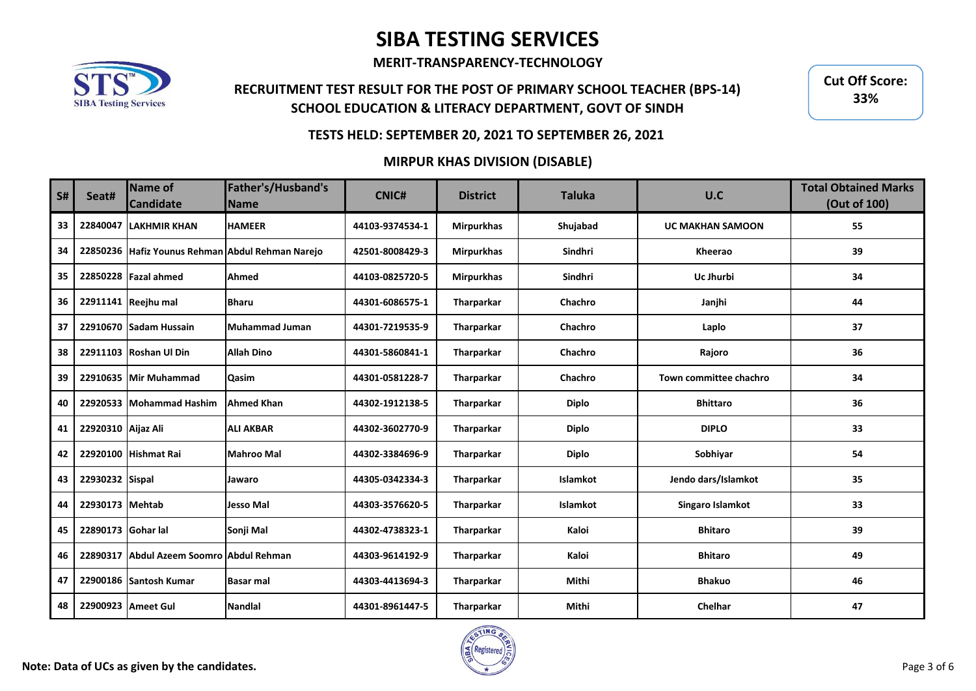**MERIT-TRANSPARENCY-TECHNOLOGY**

## **RECRUITMENT TEST RESULT FOR THE POST OF PRIMARY SCHOOL TEACHER (BPS-14) SCHOOL EDUCATION & LITERACY DEPARTMENT, GOVT OF SINDH**

**Cut Off Score: 33%**

### **TESTS HELD: SEPTEMBER 20, 2021 TO SEPTEMBER 26, 2021**

### **MIRPUR KHAS DIVISION (DISABLE)**

| <b>S#</b> | Seat#              | <b>Name of</b><br><b>Candidate</b>       | Father's/Husband's<br><b>Name</b>                | <b>CNIC#</b>    | <b>District</b>   | <b>Taluka</b>   | U.C                     | <b>Total Obtained Marks</b><br>(Out of 100) |
|-----------|--------------------|------------------------------------------|--------------------------------------------------|-----------------|-------------------|-----------------|-------------------------|---------------------------------------------|
| 33        |                    | 22840047 LAKHMIR KHAN                    | <b>HAMEER</b>                                    | 44103-9374534-1 | <b>Mirpurkhas</b> | Shujabad        | <b>UC MAKHAN SAMOON</b> | 55                                          |
| 34        |                    |                                          | 22850236 Hafiz Younus Rehman Abdul Rehman Narejo | 42501-8008429-3 | <b>Mirpurkhas</b> | Sindhri         | Kheerao                 | 39                                          |
| 35        |                    | 22850228 Fazal ahmed                     | Ahmed                                            | 44103-0825720-5 | <b>Mirpurkhas</b> | Sindhri         | Uc Jhurbi               | 34                                          |
| 36        |                    | 22911141 Reejhu mal                      | <b>Bharu</b>                                     | 44301-6086575-1 | Tharparkar        | Chachro         | Janjhi                  | 44                                          |
| 37        |                    | 22910670 Sadam Hussain                   | Muhammad Juman                                   | 44301-7219535-9 | Tharparkar        | Chachro         | Laplo                   | 37                                          |
| 38        |                    | 22911103 Roshan Ul Din                   | <b>Allah Dino</b>                                | 44301-5860841-1 | Tharparkar        | Chachro         | Rajoro                  | 36                                          |
| 39        |                    | 22910635 Mir Muhammad                    | Qasim                                            | 44301-0581228-7 | Tharparkar        | Chachro         | Town committee chachro  | 34                                          |
| 40        |                    | 22920533 Mohammad Hashim                 | <b>Ahmed Khan</b>                                | 44302-1912138-5 | Tharparkar        | <b>Diplo</b>    | <b>Bhittaro</b>         | 36                                          |
| 41        | 22920310 Aijaz Ali |                                          | <b>ALI AKBAR</b>                                 | 44302-3602770-9 | Tharparkar        | <b>Diplo</b>    | <b>DIPLO</b>            | 33                                          |
| 42        |                    | 22920100 Hishmat Rai                     | <b>Mahroo Mal</b>                                | 44302-3384696-9 | Tharparkar        | <b>Diplo</b>    | Sobhiyar                | 54                                          |
| 43        | 22930232 Sispal    |                                          | Jawaro                                           | 44305-0342334-3 | Tharparkar        | Islamkot        | Jendo dars/Islamkot     | 35                                          |
| 44        | 22930173 Mehtab    |                                          | Jesso Mal                                        | 44303-3576620-5 | Tharparkar        | <b>Islamkot</b> | Singaro Islamkot        | 33                                          |
| 45        | 22890173 Gohar lal |                                          | Sonji Mal                                        | 44302-4738323-1 | Tharparkar        | Kaloi           | <b>Bhitaro</b>          | 39                                          |
| 46        |                    | 22890317 Abdul Azeem Soomro Abdul Rehman |                                                  | 44303-9614192-9 | Tharparkar        | Kaloi           | <b>Bhitaro</b>          | 49                                          |
| 47        |                    | 22900186 Santosh Kumar                   | <b>Basar mal</b>                                 | 44303-4413694-3 | Tharparkar        | Mithi           | <b>Bhakuo</b>           | 46                                          |
| 48        |                    | 22900923 Ameet Gul                       | <b>Nandlal</b>                                   | 44301-8961447-5 | Tharparkar        | Mithi           | Chelhar                 | 47                                          |

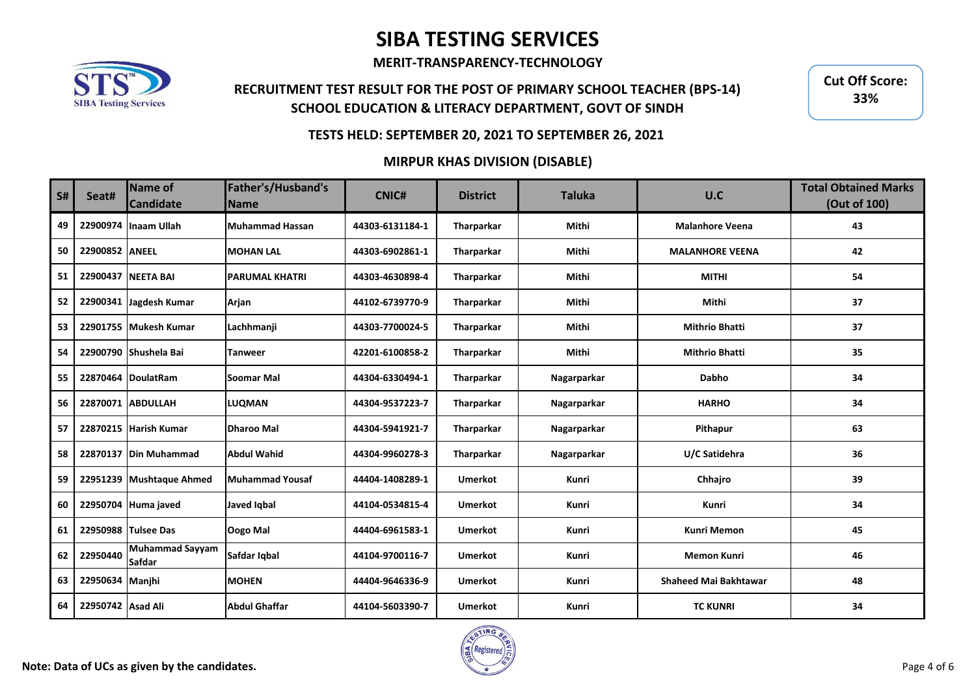**MERIT-TRANSPARENCY-TECHNOLOGY**

## **RECRUITMENT TEST RESULT FOR THE POST OF PRIMARY SCHOOL TEACHER (BPS-14) SCHOOL EDUCATION & LITERACY DEPARTMENT, GOVT OF SINDH**

**Cut Off Score: 33%**

### **TESTS HELD: SEPTEMBER 20, 2021 TO SEPTEMBER 26, 2021**

### **MIRPUR KHAS DIVISION (DISABLE)**

| <b>S#</b> | Seat#             | Name of<br><b>Candidate</b>             | Father's/Husband's<br><b>Name</b> | <b>CNIC#</b>    | <b>District</b> | <b>Taluka</b> | U.C                          | <b>Total Obtained Marks</b><br>(Out of 100) |
|-----------|-------------------|-----------------------------------------|-----------------------------------|-----------------|-----------------|---------------|------------------------------|---------------------------------------------|
| 49        |                   | 22900974 Inaam Ullah                    | <b>Muhammad Hassan</b>            | 44303-6131184-1 | Tharparkar      | Mithi         | <b>Malanhore Veena</b>       | 43                                          |
| 50        | 22900852 ANEEL    |                                         | <b>MOHAN LAL</b>                  | 44303-6902861-1 | Tharparkar      | Mithi         | <b>MALANHORE VEENA</b>       | 42                                          |
| 51        |                   | 22900437 NEETA BAI                      | <b>PARUMAL KHATRI</b>             | 44303-4630898-4 | Tharparkar      | Mithi         | <b>MITHI</b>                 | 54                                          |
| 52        |                   | 22900341 Jagdesh Kumar                  | Arjan                             | 44102-6739770-9 | Tharparkar      | Mithi         | Mithi                        | 37                                          |
| 53        |                   | 22901755 Mukesh Kumar                   | Lachhmanji                        | 44303-7700024-5 | Tharparkar      | Mithi         | <b>Mithrio Bhatti</b>        | 37                                          |
| 54        |                   | 22900790 Shushela Bai                   | Tanweer                           | 42201-6100858-2 | Tharparkar      | Mithi         | <b>Mithrio Bhatti</b>        | 35                                          |
| 55        |                   | 22870464 DoulatRam                      | <b>Soomar Mal</b>                 | 44304-6330494-1 | Tharparkar      | Nagarparkar   | <b>Dabho</b>                 | 34                                          |
| 56        |                   | 22870071 ABDULLAH                       | <b>LUQMAN</b>                     | 44304-9537223-7 | Tharparkar      | Nagarparkar   | <b>HARHO</b>                 | 34                                          |
| 57        |                   | 22870215 Harish Kumar                   | <b>Dharoo Mal</b>                 | 44304-5941921-7 | Tharparkar      | Nagarparkar   | Pithapur                     | 63                                          |
| 58        |                   | 22870137   Din Muhammad                 | <b>Abdul Wahid</b>                | 44304-9960278-3 | Tharparkar      | Nagarparkar   | U/C Satidehra                | 36                                          |
| 59        |                   | 22951239 Mushtaque Ahmed                | Muhammad Yousaf                   | 44404-1408289-1 | <b>Umerkot</b>  | Kunri         | Chhajro                      | 39                                          |
| 60        |                   | 22950704 Huma javed                     | <b>Javed Iqbal</b>                | 44104-0534815-4 | <b>Umerkot</b>  | Kunri         | Kunri                        | 34                                          |
| 61        |                   | 22950988 Tulsee Das                     | Oogo Mal                          | 44404-6961583-1 | <b>Umerkot</b>  | Kunri         | <b>Kunri Memon</b>           | 45                                          |
| 62        | 22950440          | <b>Muhammad Sayyam</b><br><b>Safdar</b> | Safdar Iqbal                      | 44104-9700116-7 | <b>Umerkot</b>  | Kunri         | <b>Memon Kunri</b>           | 46                                          |
| 63        | 22950634 Manjhi   |                                         | <b>MOHEN</b>                      | 44404-9646336-9 | <b>Umerkot</b>  | Kunri         | <b>Shaheed Mai Bakhtawar</b> | 48                                          |
| 64        | 22950742 Asad Ali |                                         | <b>Abdul Ghaffar</b>              | 44104-5603390-7 | <b>Umerkot</b>  | Kunri         | <b>TC KUNRI</b>              | 34                                          |

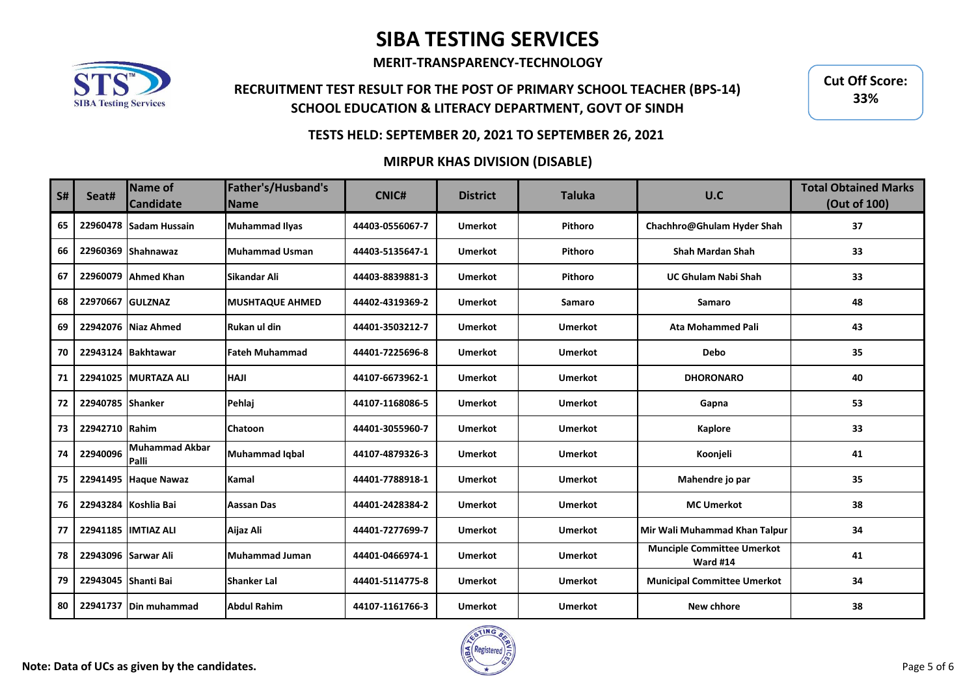**MERIT-TRANSPARENCY-TECHNOLOGY**

## **RECRUITMENT TEST RESULT FOR THE POST OF PRIMARY SCHOOL TEACHER (BPS-14) SCHOOL EDUCATION & LITERACY DEPARTMENT, GOVT OF SINDH**

**Cut Off Score: 33%**

### **TESTS HELD: SEPTEMBER 20, 2021 TO SEPTEMBER 26, 2021**

#### **MIRPUR KHAS DIVISION (DISABLE)**

| <b>S#</b> | Seat#               | <b>Name of</b><br><b>Candidate</b> | Father's/Husband's<br><b>Name</b> | <b>CNIC#</b>    | <b>District</b> | <b>Taluka</b>  | U.C                                                  | <b>Total Obtained Marks</b><br>(Out of 100) |
|-----------|---------------------|------------------------------------|-----------------------------------|-----------------|-----------------|----------------|------------------------------------------------------|---------------------------------------------|
| 65        |                     | 22960478 Sadam Hussain             | <b>Muhammad Ilyas</b>             | 44403-0556067-7 | <b>Umerkot</b>  | Pithoro        | Chachhro@Ghulam Hyder Shah                           | 37                                          |
| 66        |                     | 22960369 Shahnawaz                 | <b>Muhammad Usman</b>             | 44403-5135647-1 | <b>Umerkot</b>  | Pithoro        | <b>Shah Mardan Shah</b>                              | 33                                          |
| 67        |                     | 22960079 Ahmed Khan                | <b>Sikandar Ali</b>               | 44403-8839881-3 | <b>Umerkot</b>  | Pithoro        | <b>UC Ghulam Nabi Shah</b>                           | 33                                          |
| 68        | 22970667 GULZNAZ    |                                    | <b>MUSHTAQUE AHMED</b>            | 44402-4319369-2 | <b>Umerkot</b>  | Samaro         | Samaro                                               | 48                                          |
| 69        |                     | 22942076 Niaz Ahmed                | Rukan ul din                      | 44401-3503212-7 | <b>Umerkot</b>  | <b>Umerkot</b> | <b>Ata Mohammed Pali</b>                             | 43                                          |
| 70        |                     | 22943124 Bakhtawar                 | <b>Fateh Muhammad</b>             | 44401-7225696-8 | <b>Umerkot</b>  | <b>Umerkot</b> | <b>Debo</b>                                          | 35                                          |
| 71        |                     | 22941025 MURTAZA ALI               | <b>HAJI</b>                       | 44107-6673962-1 | <b>Umerkot</b>  | <b>Umerkot</b> | <b>DHORONARO</b>                                     | 40                                          |
| 72        | 22940785 Shanker    |                                    | Pehlaj                            | 44107-1168086-5 | <b>Umerkot</b>  | <b>Umerkot</b> | Gapna                                                | 53                                          |
| 73        | 22942710 Rahim      |                                    | Chatoon                           | 44401-3055960-7 | <b>Umerkot</b>  | <b>Umerkot</b> | Kaplore                                              | 33                                          |
| 74        | 22940096            | Muhammad Akbar<br>Palli            | Muhammad Iqbal                    | 44107-4879326-3 | <b>Umerkot</b>  | <b>Umerkot</b> | Koonjeli                                             | 41                                          |
| 75        |                     | 22941495 Haque Nawaz               | Kamal                             | 44401-7788918-1 | <b>Umerkot</b>  | <b>Umerkot</b> | Mahendre jo par                                      | 35                                          |
| 76        |                     | 22943284 Koshlia Bai               | <b>Aassan Das</b>                 | 44401-2428384-2 | <b>Umerkot</b>  | <b>Umerkot</b> | <b>MC Umerkot</b>                                    | 38                                          |
| 77        |                     | 22941185 IMTIAZ ALI                | Aijaz Ali                         | 44401-7277699-7 | <b>Umerkot</b>  | <b>Umerkot</b> | Mir Wali Muhammad Khan Talpur                        | 34                                          |
| 78        |                     | 22943096 Sarwar Ali                | Muhammad Juman                    | 44401-0466974-1 | <b>Umerkot</b>  | <b>Umerkot</b> | <b>Munciple Committee Umerkot</b><br><b>Ward #14</b> | 41                                          |
| 79        | 22943045 Shanti Bai |                                    | <b>Shanker Lal</b>                | 44401-5114775-8 | <b>Umerkot</b>  | <b>Umerkot</b> | <b>Municipal Committee Umerkot</b>                   | 34                                          |
| 80        |                     | 22941737   Din muhammad            | <b>Abdul Rahim</b>                | 44107-1161766-3 | <b>Umerkot</b>  | <b>Umerkot</b> | New chhore                                           | 38                                          |